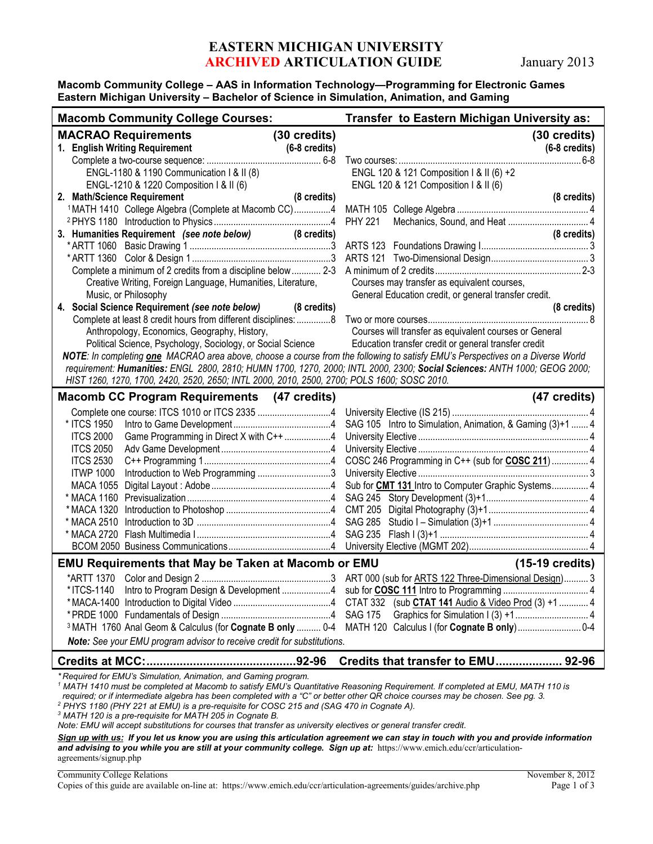# **EASTERN MICHIGAN UNIVERSITY ARCHIVED ARTICULATION GUIDE** January 2013

#### **Macomb Community College – AAS in Information Technology—Programming for Electronic Games Eastern Michigan University – Bachelor of Science in Simulation, Animation, and Gaming**

| <b>Macomb Community College Courses:</b>                                                                                                                                                                                                                                                                                             |                                                        | Transfer to Eastern Michigan University as:                                                                                                                                                                                                                                                                                                                                                                                                                    |  |
|--------------------------------------------------------------------------------------------------------------------------------------------------------------------------------------------------------------------------------------------------------------------------------------------------------------------------------------|--------------------------------------------------------|----------------------------------------------------------------------------------------------------------------------------------------------------------------------------------------------------------------------------------------------------------------------------------------------------------------------------------------------------------------------------------------------------------------------------------------------------------------|--|
| <b>MACRAO Requirements</b><br>1. English Writing Requirement<br>ENGL-1180 & 1190 Communication I & II (8)<br>ENGL-1210 & 1220 Composition I & II (6)<br>2. Math/Science Requirement<br>3. Humanities Requirement (see note below) (8 credits)<br>Creative Writing, Foreign Language, Humanities, Literature,<br>Music, or Philosophy | (30 credits)<br>$(6-8 \text{ credits})$<br>(8 credits) | (30 credits)<br>$(6-8 \text{ credits})$<br>ENGL 120 & 121 Composition I & II (6) +2<br>ENGL 120 & 121 Composition I & II (6)<br>(8 credits)<br>(8 credits)<br>Courses may transfer as equivalent courses,<br>General Education credit, or general transfer credit.                                                                                                                                                                                             |  |
| 4. Social Science Requirement (see note below) (8 credits)<br>Anthropology, Economics, Geography, History,<br>HIST 1260, 1270, 1700, 2420, 2520, 2650; INTL 2000, 2010, 2500, 2700; POLS 1600; SOSC 2010.                                                                                                                            |                                                        | (8 credits)<br>Courses will transfer as equivalent courses or General<br>Political Science, Psychology, Sociology, or Social Science Education transfer credit or general transfer credit<br>NOTE: In completing <b>one</b> MACRAO area above, choose a course from the following to satisfy EMU's Perspectives on a Diverse World<br>requirement: Humanities: ENGL 2800, 2810; HUMN 1700, 1270, 2000; INTL 2000, 2300; Social Sciences: ANTH 1000; GEOG 2000; |  |
| <b>Macomb CC Program Requirements (47 credits)</b>                                                                                                                                                                                                                                                                                   |                                                        | (47 credits)                                                                                                                                                                                                                                                                                                                                                                                                                                                   |  |
| * ITCS 1950<br>Game Programming in Direct X with C++ 4<br><b>ITCS 2000</b><br><b>ITCS 2050</b><br><b>ITCS 2530</b><br><b>ITWP 1000</b><br><b>MACA 1055</b>                                                                                                                                                                           |                                                        | SAG 105 Intro to Simulation, Animation, & Gaming (3)+1  4<br>Sub for <b>CMT 131</b> Intro to Computer Graphic Systems 4                                                                                                                                                                                                                                                                                                                                        |  |
| <b>EMU Requirements that May be Taken at Macomb or EMU</b>                                                                                                                                                                                                                                                                           |                                                        | $(15-19 \text{ credits})$                                                                                                                                                                                                                                                                                                                                                                                                                                      |  |
| Note: See your EMU program advisor to receive credit for substitutions.                                                                                                                                                                                                                                                              |                                                        | 3 MATH 1760 Anal Geom & Calculus (for Cognate B only  0-4 MATH 120 Calculus I (for Cognate B only)  0-4                                                                                                                                                                                                                                                                                                                                                        |  |
|                                                                                                                                                                                                                                                                                                                                      |                                                        | Credits that transfer to EMU 92-96                                                                                                                                                                                                                                                                                                                                                                                                                             |  |
| *Required for EMU's Simulation, Animation, and Gaming program.                                                                                                                                                                                                                                                                       |                                                        |                                                                                                                                                                                                                                                                                                                                                                                                                                                                |  |

<sup>1</sup> MATH 1410 must be completed at Macomb to satisfy EMU's Quantitative Reasoning Requirement. If completed at EMU, MATH 110 is *required; or if intermediate algebra has been completed with a "C" or better other QR choice courses may be chosen. See pg. 3.*

*<sup>2</sup> PHYS 1180 (PHY 221 at EMU) is a pre-requisite for COSC 215 and (SAG 470 in Cognate A).*

*<sup>3</sup> MATH 120 is a pre-requisite for MATH 205 in Cognate B.*

*Note: EMU will accept substitutions for courses that transfer as university electives or general transfer credit.* 

*Sign up with us: If you let us know you are using this articulation agreement we can stay in touch with you and provide information*  and advising to you while you are still at your community college. Sign up at: https://www.emich.edu/ccr/articulationagreements/signup.php

| Community College Relations |  |
|-----------------------------|--|
|-----------------------------|--|

Copies of this guide are available on-line at: https://www.emich.edu/ccr/articulation-agreements/guides/archive.php Page 1 of 3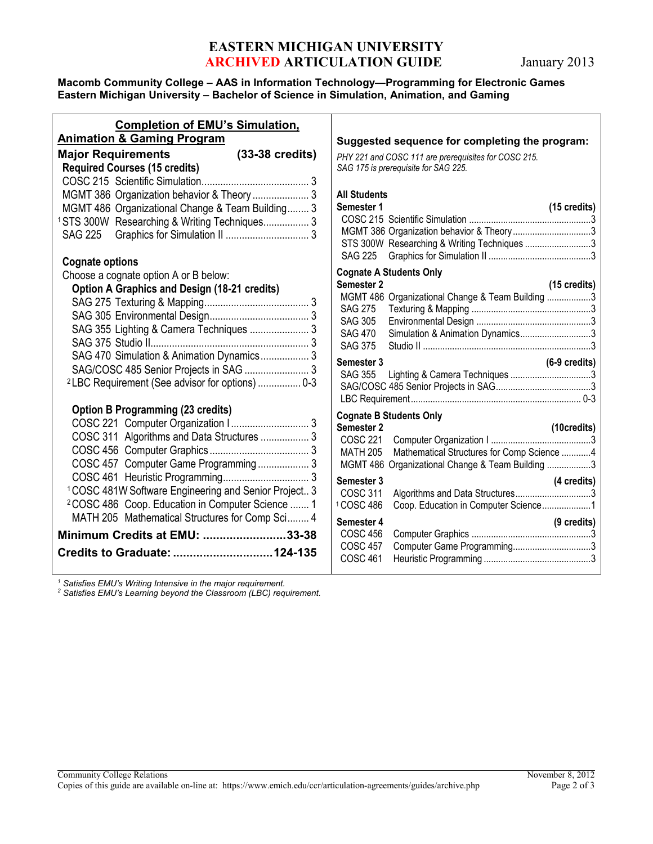# **EASTERN MICHIGAN UNIVERSITY ARCHIVED ARTICULATION GUIDE** January 2013

### **Macomb Community College – AAS in Information Technology—Programming for Electronic Games Eastern Michigan University – Bachelor of Science in Simulation, Animation, and Gaming**

| <b>Completion of EMU's Simulation,</b>                                                                                                                                                                                                                                                                                                                                                                                          |                                                                                                                                                                                                        |
|---------------------------------------------------------------------------------------------------------------------------------------------------------------------------------------------------------------------------------------------------------------------------------------------------------------------------------------------------------------------------------------------------------------------------------|--------------------------------------------------------------------------------------------------------------------------------------------------------------------------------------------------------|
| <b>Animation &amp; Gaming Program</b>                                                                                                                                                                                                                                                                                                                                                                                           |                                                                                                                                                                                                        |
| $(33-38 \text{ credits})$<br><b>Major Requirements</b><br><b>Required Courses (15 credits)</b><br>MGMT 386 Organization behavior & Theory  3<br>MGMT 486 Organizational Change & Team Building 3<br><sup>1</sup> STS 300W Researching & Writing Techniques 3                                                                                                                                                                    | <b>Sugges</b><br>PHY 221<br>SAG 175<br>All Stud<br><b>Semeste</b><br>COSC <sub>2</sub><br><b>MGMT</b><br><b>STS 30</b>                                                                                 |
| <b>Cognate options</b><br>Choose a cognate option A or B below:<br><b>Option A Graphics and Design (18-21 credits)</b><br>SAG 355 Lighting & Camera Techniques  3<br>SAG 470 Simulation & Animation Dynamics 3<br>SAG/COSC 485 Senior Projects in SAG  3<br><sup>2</sup> LBC Requirement (See advisor for options)  0-3                                                                                                         | <b>SAG 22</b><br>Cognate<br><b>Semeste</b><br>MGMT 4<br><b>SAG 27</b><br><b>SAG 30</b><br><b>SAG 47</b><br><b>SAG 37</b><br><b>Semeste</b><br><b>SAG 35</b><br>SAG/CO<br>LBC Re                        |
| <b>Option B Programming (23 credits)</b><br>COSC 221 Computer Organization    3<br>COSC 311 Algorithms and Data Structures  3<br>COSC 457 Computer Game Programming  3<br><sup>1</sup> COSC 481W Software Engineering and Senior Project 3<br><sup>2</sup> COSC 486 Coop. Education in Computer Science  1<br>MATH 205 Mathematical Structures for Comp Sci 4<br>Minimum Credits at EMU: 33-38<br>Credits to Graduate:  124-135 | Cognate<br><b>Semeste</b><br>COSC <sub>2</sub><br>MATH 2<br>MGMT 4<br><b>Semeste</b><br>COSC <sub>3</sub><br>1 COSC 4<br><b>Semeste</b><br>COSC <sub>4</sub><br>COSC <sub>4</sub><br>COSC <sub>4</sub> |

sted sequence for completing the program: *PHY 221 and COSC 111 are prerequisites for COSC 215. SAG 175 is prerequisite for SAG 225.* ents **Semester 1 (15 credits)** COSC 215 Scientific Simulation ..................................................3 386 Organization behavior & Theory..................................3 0W Researching & Writing Techniques ............................3 SAG 225 Graphics for Simulation II ..........................................3 **Cognate A Students Only Semester 2 (15 credits)** 486 Organizational Change & Team Building .................3 SAG 275 Texturing & Mapping .................................................3 SAG 305 Environmental Design ...............................................3 0 Simulation & Animation Dynamics.............................3 SAG 375 Studio II .....................................................................3 **Semester 3 (6-9 credits)** 5 Lighting & Camera Techniques ................................3 SAG/COSC 485 Senior Projects in SAG.......................................3 LBC Requirement...................................................................... 0-3 **Cognate B Students Only Semester 2 (10credits)** COSC 221 Computer Organization I .........................................3 205 Mathematical Structures for Comp Science ...........4 486 Organizational Change & Team Building .................3 **Semester 3 (4 credits)** 311 Algorithms and Data Structures.................................3 186 Coop. Education in Computer Science....................1 **Semester 4 (9 credits)** COSC 456 Computer Graphics .................................................3 57 Computer Game Programming.................................3 COSC 461 Heuristic Programming ............................................3

*<sup>1</sup> Satisfies EMU's Writing Intensive in the major requirement.*

*<sup>2</sup> Satisfies EMU's Learning beyond the Classroom (LBC) requirement.*